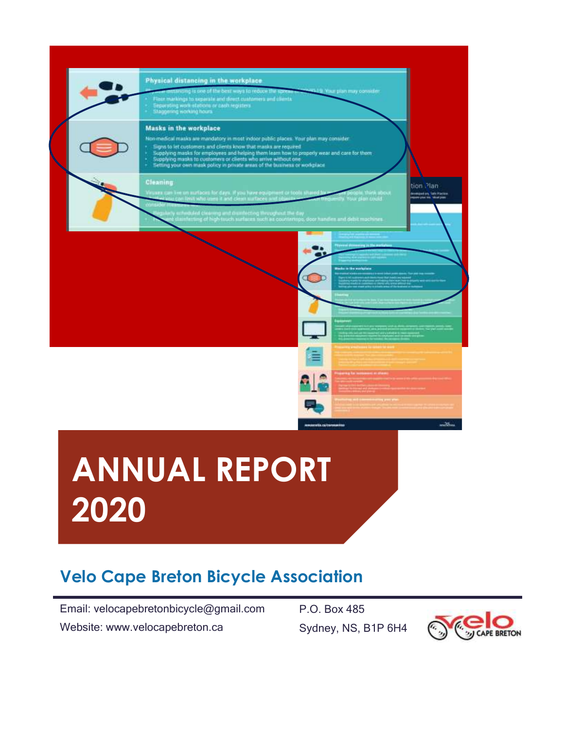

# **ANNUAL REPORT 2020**

# **Velo Cape Breton Bicycle Association**

Email: velocapebretonbicycle@gmail.com Website: www.velocapebreton.ca

P.O. Box 485 Sydney, NS, B1P 6H4

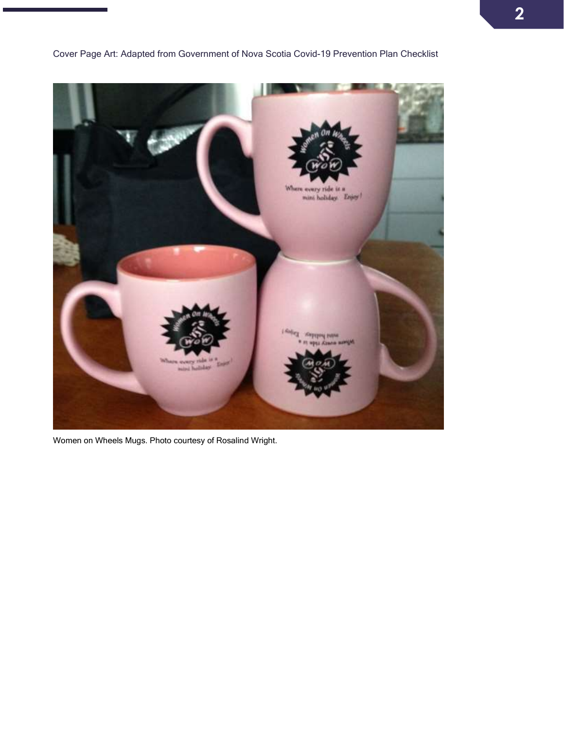mini holiday. Enjoy **NE PHINA** 

Cover Page Art: Adapted from Government of Nova Scotia Covid-19 Prevention Plan Checklist

Women on Wheels Mugs. Photo courtesy of Rosalind Wright.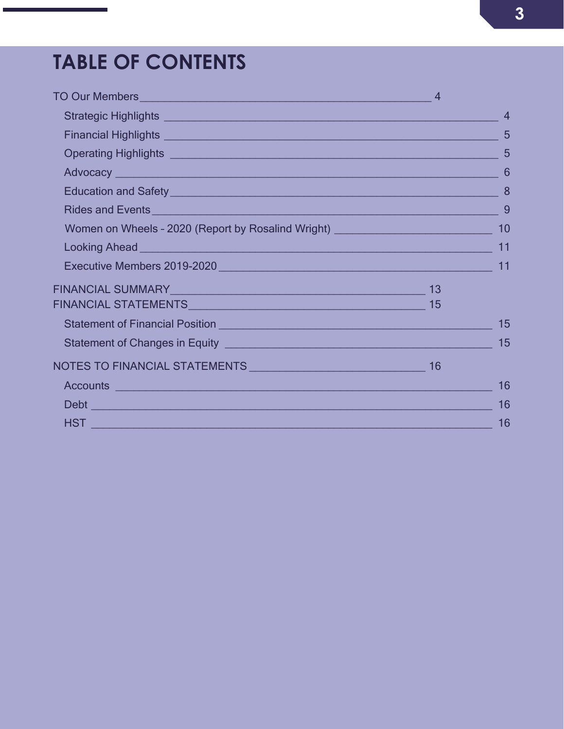# **TABLE OF CONTENTS**

| $\overline{4}$                                                                                                                                                                                                                                                                                                                                                                                                                                                                                                                                                                                                                                                                                                                                                                                                                                                                                                                                                                                                                                                                                                                                                                                                                                                                                                                                                                                                     |
|--------------------------------------------------------------------------------------------------------------------------------------------------------------------------------------------------------------------------------------------------------------------------------------------------------------------------------------------------------------------------------------------------------------------------------------------------------------------------------------------------------------------------------------------------------------------------------------------------------------------------------------------------------------------------------------------------------------------------------------------------------------------------------------------------------------------------------------------------------------------------------------------------------------------------------------------------------------------------------------------------------------------------------------------------------------------------------------------------------------------------------------------------------------------------------------------------------------------------------------------------------------------------------------------------------------------------------------------------------------------------------------------------------------------|
| 5                                                                                                                                                                                                                                                                                                                                                                                                                                                                                                                                                                                                                                                                                                                                                                                                                                                                                                                                                                                                                                                                                                                                                                                                                                                                                                                                                                                                                  |
| $5\overline{5}$                                                                                                                                                                                                                                                                                                                                                                                                                                                                                                                                                                                                                                                                                                                                                                                                                                                                                                                                                                                                                                                                                                                                                                                                                                                                                                                                                                                                    |
| 6                                                                                                                                                                                                                                                                                                                                                                                                                                                                                                                                                                                                                                                                                                                                                                                                                                                                                                                                                                                                                                                                                                                                                                                                                                                                                                                                                                                                                  |
| 8                                                                                                                                                                                                                                                                                                                                                                                                                                                                                                                                                                                                                                                                                                                                                                                                                                                                                                                                                                                                                                                                                                                                                                                                                                                                                                                                                                                                                  |
| 9                                                                                                                                                                                                                                                                                                                                                                                                                                                                                                                                                                                                                                                                                                                                                                                                                                                                                                                                                                                                                                                                                                                                                                                                                                                                                                                                                                                                                  |
| 10                                                                                                                                                                                                                                                                                                                                                                                                                                                                                                                                                                                                                                                                                                                                                                                                                                                                                                                                                                                                                                                                                                                                                                                                                                                                                                                                                                                                                 |
| 11                                                                                                                                                                                                                                                                                                                                                                                                                                                                                                                                                                                                                                                                                                                                                                                                                                                                                                                                                                                                                                                                                                                                                                                                                                                                                                                                                                                                                 |
| 11                                                                                                                                                                                                                                                                                                                                                                                                                                                                                                                                                                                                                                                                                                                                                                                                                                                                                                                                                                                                                                                                                                                                                                                                                                                                                                                                                                                                                 |
|                                                                                                                                                                                                                                                                                                                                                                                                                                                                                                                                                                                                                                                                                                                                                                                                                                                                                                                                                                                                                                                                                                                                                                                                                                                                                                                                                                                                                    |
|                                                                                                                                                                                                                                                                                                                                                                                                                                                                                                                                                                                                                                                                                                                                                                                                                                                                                                                                                                                                                                                                                                                                                                                                                                                                                                                                                                                                                    |
| 15                                                                                                                                                                                                                                                                                                                                                                                                                                                                                                                                                                                                                                                                                                                                                                                                                                                                                                                                                                                                                                                                                                                                                                                                                                                                                                                                                                                                                 |
| 15                                                                                                                                                                                                                                                                                                                                                                                                                                                                                                                                                                                                                                                                                                                                                                                                                                                                                                                                                                                                                                                                                                                                                                                                                                                                                                                                                                                                                 |
|                                                                                                                                                                                                                                                                                                                                                                                                                                                                                                                                                                                                                                                                                                                                                                                                                                                                                                                                                                                                                                                                                                                                                                                                                                                                                                                                                                                                                    |
| 16                                                                                                                                                                                                                                                                                                                                                                                                                                                                                                                                                                                                                                                                                                                                                                                                                                                                                                                                                                                                                                                                                                                                                                                                                                                                                                                                                                                                                 |
| 16                                                                                                                                                                                                                                                                                                                                                                                                                                                                                                                                                                                                                                                                                                                                                                                                                                                                                                                                                                                                                                                                                                                                                                                                                                                                                                                                                                                                                 |
| 16                                                                                                                                                                                                                                                                                                                                                                                                                                                                                                                                                                                                                                                                                                                                                                                                                                                                                                                                                                                                                                                                                                                                                                                                                                                                                                                                                                                                                 |
| TO Our Members <b>Contract of the Contract of Australian Contract of Australian Contract of Australian Contract of Australian Contract of Australian Contract of Australian Contract of Australian Contract of Australian Contra</b><br>Strategic Highlights <b>contained a strategic Highlights</b> and the strategic method of the strategic method of the strategic method of the strategic method of the strategic method of the strategic method of the strategic meth<br>Rides and Events <b>Contract Contract Contract Contract Contract Contract Contract Contract Contract Contract Contract Contract Contract Contract Contract Contract Contract Contract Contract Contract Contract Contract Contra</b><br>Women on Wheels - 2020 (Report by Rosalind Wright) _____________________________<br>Looking Ahead <b>Next All Albert Control Control Act Albert Control Control Control Control Control Control Control Control Control Control Control Control Control Control Control Control Control Control Control Control Cont</b><br>Statement of Financial Position<br><u> and the manufacture of the manufacture of the manufacture of the manufacture</u><br>Accounts <b>contract and contract and contract and contract and contract and contract and contract and contract and contract and contract and contract and contract and contract and contract and contract and contract and cont</b> |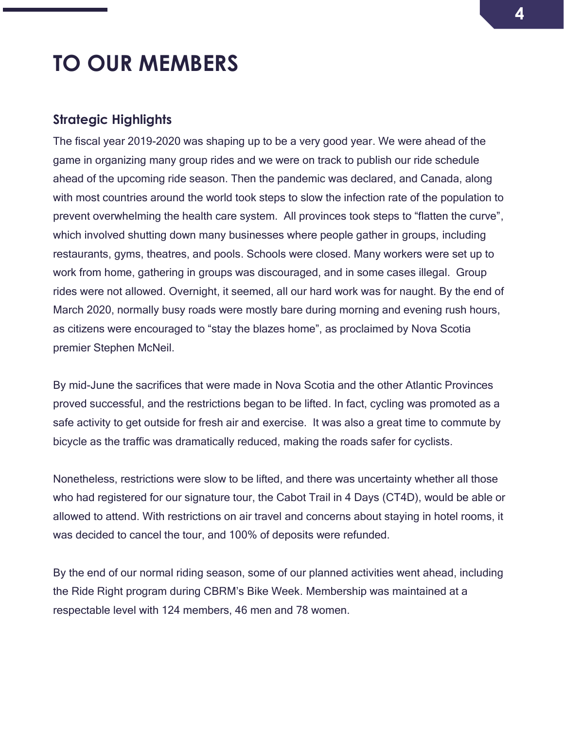# <span id="page-3-0"></span>**TO OUR MEMBERS**

#### <span id="page-3-1"></span>**Strategic Highlights**

The fiscal year 2019-2020 was shaping up to be a very good year. We were ahead of the game in organizing many group rides and we were on track to publish our ride schedule ahead of the upcoming ride season. Then the pandemic was declared, and Canada, along with most countries around the world took steps to slow the infection rate of the population to prevent overwhelming the health care system. All provinces took steps to "flatten the curve", which involved shutting down many businesses where people gather in groups, including restaurants, gyms, theatres, and pools. Schools were closed. Many workers were set up to work from home, gathering in groups was discouraged, and in some cases illegal. Group rides were not allowed. Overnight, it seemed, all our hard work was for naught. By the end of March 2020, normally busy roads were mostly bare during morning and evening rush hours, as citizens were encouraged to "stay the blazes home", as proclaimed by Nova Scotia premier Stephen McNeil.

By mid-June the sacrifices that were made in Nova Scotia and the other Atlantic Provinces proved successful, and the restrictions began to be lifted. In fact, cycling was promoted as a safe activity to get outside for fresh air and exercise. It was also a great time to commute by bicycle as the traffic was dramatically reduced, making the roads safer for cyclists.

Nonetheless, restrictions were slow to be lifted, and there was uncertainty whether all those who had registered for our signature tour, the Cabot Trail in 4 Days (CT4D), would be able or allowed to attend. With restrictions on air travel and concerns about staying in hotel rooms, it was decided to cancel the tour, and 100% of deposits were refunded.

By the end of our normal riding season, some of our planned activities went ahead, including the Ride Right program during CBRM's Bike Week. Membership was maintained at a respectable level with 124 members, 46 men and 78 women.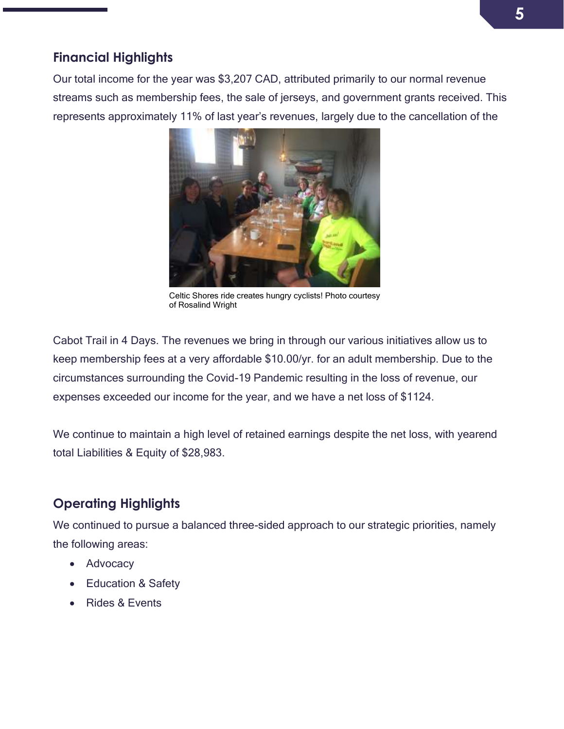## <span id="page-4-0"></span>**Financial Highlights**

Our total income for the year was \$3,207 CAD, attributed primarily to our normal revenue streams such as membership fees, the sale of jerseys, and government grants received. This represents approximately 11% of last year's revenues, largely due to the cancellation of the



Celtic Shores ride creates hungry cyclists! Photo courtesy of Rosalind Wright

Cabot Trail in 4 Days. The revenues we bring in through our various initiatives allow us to keep membership fees at a very affordable \$10.00/yr. for an adult membership. Due to the circumstances surrounding the Covid-19 Pandemic resulting in the loss of revenue, our expenses exceeded our income for the year, and we have a net loss of \$1124.

We continue to maintain a high level of retained earnings despite the net loss, with yearend total Liabilities & Equity of \$28,983.

# <span id="page-4-1"></span>**Operating Highlights**

We continued to pursue a balanced three-sided approach to our strategic priorities, namely the following areas:

- Advocacy
- Education & Safety
- Rides & Events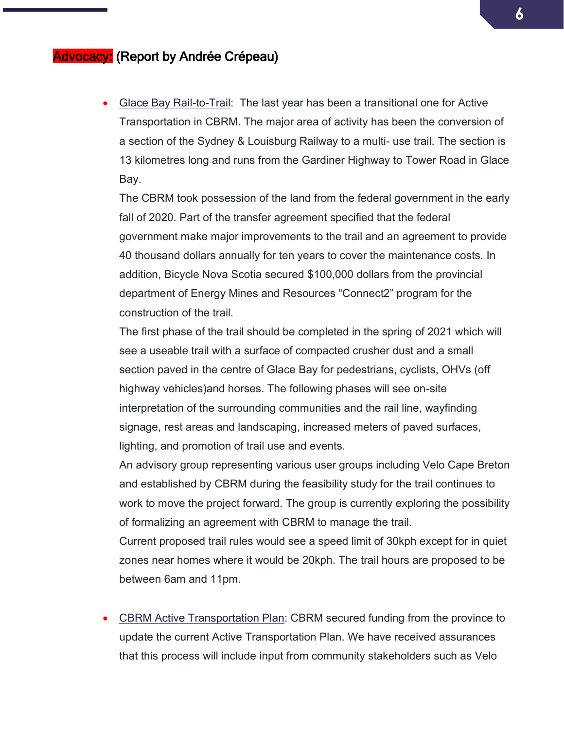### Advocacy: (Report by Andrée Crépeau)

• Glace Bay Rail-to-Trail: The last year has been a transitional one for Active Transportation in CBRM. The major area of activity has been the conversion of a section of the Sydney & Louisburg Railway to a multi- use trail. The section is 13 kilometres long and runs from the Gardiner Highway to Tower Road in Glace Bay.

The CBRM took possession of the land from the federal government in the early fall of 2020. Part of the transfer agreement specified that the federal government make major improvements to the trail and an agreement to provide 40 thousand dollars annually for ten years to cover the maintenance costs. In addition, Bicycle Nova Scotia secured \$100,000 dollars from the provincial department of Energy Mines and Resources "Connect2" program for the construction of the trail.

The first phase of the trail should be completed in the spring of 2021 which will see a useable trail with a surface of compacted crusher dust and a small section paved in the centre of Glace Bay for pedestrians, cyclists, OHVs (off highway vehicles)and horses. The following phases will see on-site interpretation of the surrounding communities and the rail line, wayfinding signage, rest areas and landscaping, increased meters of paved surfaces, lighting, and promotion of trail use and events.

An advisory group representing various user groups including Velo Cape Breton and established by CBRM during the feasibility study for the trail continues to work to move the project forward. The group is currently exploring the possibility of formalizing an agreement with CBRM to manage the trail.

Current proposed trail rules would see a speed limit of 30kph except for in quiet zones near homes where it would be 20kph. The trail hours are proposed to be between 6am and 11pm.

• CBRM Active Transportation Plan: CBRM secured funding from the province to update the current Active Transportation Plan. We have received assurances that this process will include input from community stakeholders such as Velo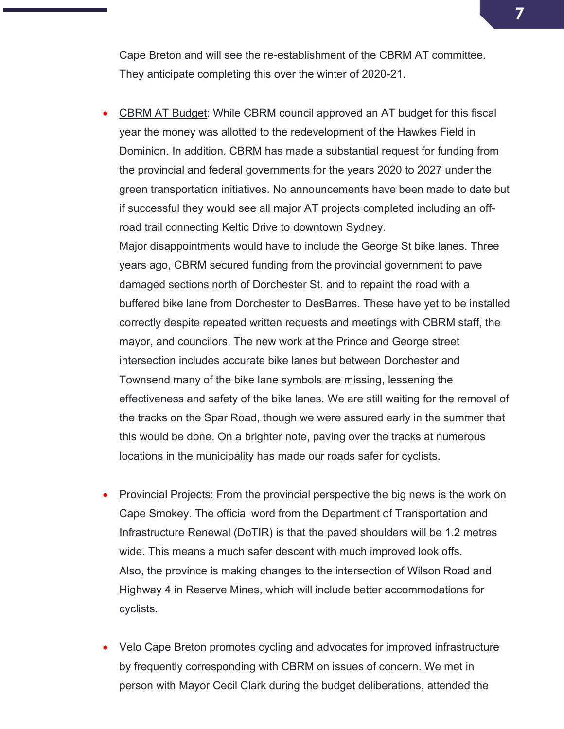Cape Breton and will see the re-establishment of the CBRM AT committee. They anticipate completing this over the winter of 2020-21.

• CBRM AT Budget: While CBRM council approved an AT budget for this fiscal year the money was allotted to the redevelopment of the Hawkes Field in Dominion. In addition, CBRM has made a substantial request for funding from the provincial and federal governments for the years 2020 to 2027 under the green transportation initiatives. No announcements have been made to date but if successful they would see all major AT projects completed including an offroad trail connecting Keltic Drive to downtown Sydney.

Major disappointments would have to include the George St bike lanes. Three years ago, CBRM secured funding from the provincial government to pave damaged sections north of Dorchester St. and to repaint the road with a buffered bike lane from Dorchester to DesBarres. These have yet to be installed correctly despite repeated written requests and meetings with CBRM staff, the mayor, and councilors. The new work at the Prince and George street intersection includes accurate bike lanes but between Dorchester and Townsend many of the bike lane symbols are missing, lessening the effectiveness and safety of the bike lanes. We are still waiting for the removal of the tracks on the Spar Road, though we were assured early in the summer that this would be done. On a brighter note, paving over the tracks at numerous locations in the municipality has made our roads safer for cyclists.

- **Provincial Projects:** From the provincial perspective the big news is the work on Cape Smokey. The official word from the Department of Transportation and Infrastructure Renewal (DoTIR) is that the paved shoulders will be 1.2 metres wide. This means a much safer descent with much improved look offs. Also, the province is making changes to the intersection of Wilson Road and Highway 4 in Reserve Mines, which will include better accommodations for cyclists.
- Velo Cape Breton promotes cycling and advocates for improved infrastructure by frequently corresponding with CBRM on issues of concern. We met in person with Mayor Cecil Clark during the budget deliberations, attended the

**7**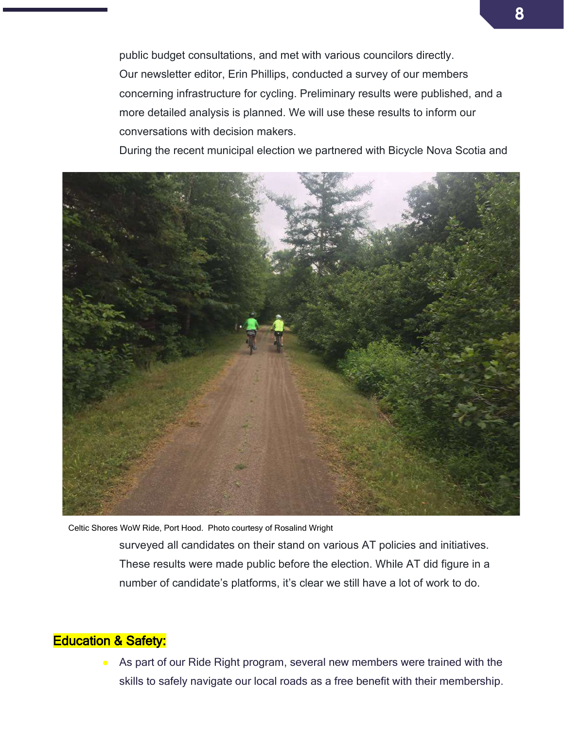public budget consultations, and met with various councilors directly. Our newsletter editor, Erin Phillips, conducted a survey of our members concerning infrastructure for cycling. Preliminary results were published, and a more detailed analysis is planned. We will use these results to inform our conversations with decision makers.

During the recent municipal election we partnered with Bicycle Nova Scotia and



Celtic Shores WoW Ride, Port Hood. Photo courtesy of Rosalind Wright

surveyed all candidates on their stand on various AT policies and initiatives. These results were made public before the election. While AT did figure in a number of candidate's platforms, it's clear we still have a lot of work to do.

### **Education & Safety:**

As part of our Ride Right program, several new members were trained with the  $\bullet$ skills to safely navigate our local roads as a free benefit with their membership.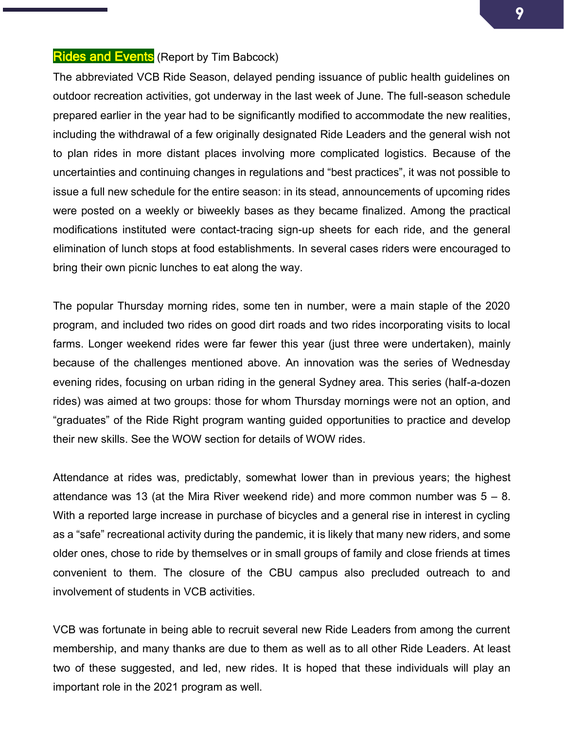#### **Rides and Events** (Report by Tim Babcock)

The abbreviated VCB Ride Season, delayed pending issuance of public health guidelines on outdoor recreation activities, got underway in the last week of June. The full-season schedule prepared earlier in the year had to be significantly modified to accommodate the new realities, including the withdrawal of a few originally designated Ride Leaders and the general wish not to plan rides in more distant places involving more complicated logistics. Because of the uncertainties and continuing changes in regulations and "best practices", it was not possible to issue a full new schedule for the entire season: in its stead, announcements of upcoming rides were posted on a weekly or biweekly bases as they became finalized. Among the practical modifications instituted were contact-tracing sign-up sheets for each ride, and the general elimination of lunch stops at food establishments. In several cases riders were encouraged to bring their own picnic lunches to eat along the way.

The popular Thursday morning rides, some ten in number, were a main staple of the 2020 program, and included two rides on good dirt roads and two rides incorporating visits to local farms. Longer weekend rides were far fewer this year (just three were undertaken), mainly because of the challenges mentioned above. An innovation was the series of Wednesday evening rides, focusing on urban riding in the general Sydney area. This series (half-a-dozen rides) was aimed at two groups: those for whom Thursday mornings were not an option, and "graduates" of the Ride Right program wanting guided opportunities to practice and develop their new skills. See the WOW section for details of WOW rides.

Attendance at rides was, predictably, somewhat lower than in previous years; the highest attendance was 13 (at the Mira River weekend ride) and more common number was  $5 - 8$ . With a reported large increase in purchase of bicycles and a general rise in interest in cycling as a "safe" recreational activity during the pandemic, it is likely that many new riders, and some older ones, chose to ride by themselves or in small groups of family and close friends at times convenient to them. The closure of the CBU campus also precluded outreach to and involvement of students in VCB activities.

VCB was fortunate in being able to recruit several new Ride Leaders from among the current membership, and many thanks are due to them as well as to all other Ride Leaders. At least two of these suggested, and led, new rides. It is hoped that these individuals will play an important role in the 2021 program as well.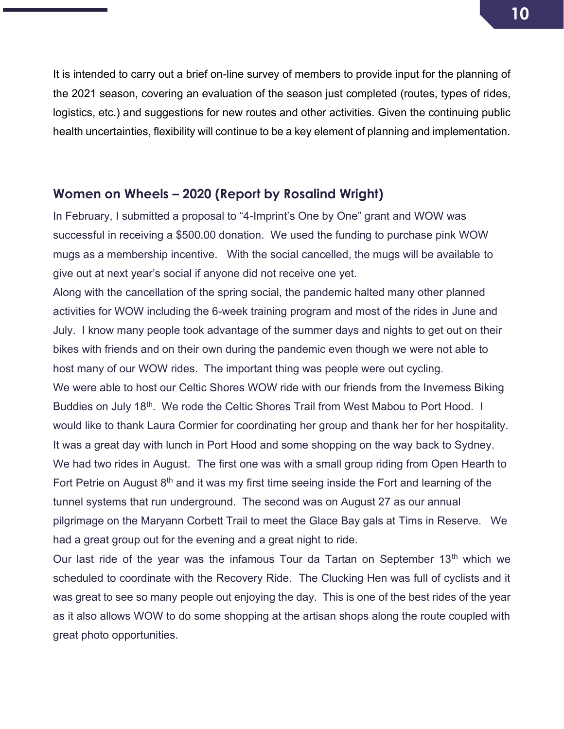It is intended to carry out a brief on-line survey of members to provide input for the planning of the 2021 season, covering an evaluation of the season just completed (routes, types of rides, logistics, etc.) and suggestions for new routes and other activities. Given the continuing public health uncertainties, flexibility will continue to be a key element of planning and implementation.

#### <span id="page-9-0"></span>**Women on Wheels – 2020 (Report by Rosalind Wright)**

In February, I submitted a proposal to "4-Imprint's One by One" grant and WOW was successful in receiving a \$500.00 donation. We used the funding to purchase pink WOW mugs as a membership incentive. With the social cancelled, the mugs will be available to give out at next year's social if anyone did not receive one yet.

Along with the cancellation of the spring social, the pandemic halted many other planned activities for WOW including the 6-week training program and most of the rides in June and July. I know many people took advantage of the summer days and nights to get out on their bikes with friends and on their own during the pandemic even though we were not able to host many of our WOW rides. The important thing was people were out cycling. We were able to host our Celtic Shores WOW ride with our friends from the Inverness Biking Buddies on July 18<sup>th</sup>. We rode the Celtic Shores Trail from West Mabou to Port Hood. I would like to thank Laura Cormier for coordinating her group and thank her for her hospitality. It was a great day with lunch in Port Hood and some shopping on the way back to Sydney. We had two rides in August. The first one was with a small group riding from Open Hearth to Fort Petrie on August  $8<sup>th</sup>$  and it was my first time seeing inside the Fort and learning of the tunnel systems that run underground. The second was on August 27 as our annual pilgrimage on the Maryann Corbett Trail to meet the Glace Bay gals at Tims in Reserve. We had a great group out for the evening and a great night to ride.

Our last ride of the year was the infamous Tour da Tartan on September 13<sup>th</sup> which we scheduled to coordinate with the Recovery Ride. The Clucking Hen was full of cyclists and it was great to see so many people out enjoying the day. This is one of the best rides of the year as it also allows WOW to do some shopping at the artisan shops along the route coupled with great photo opportunities.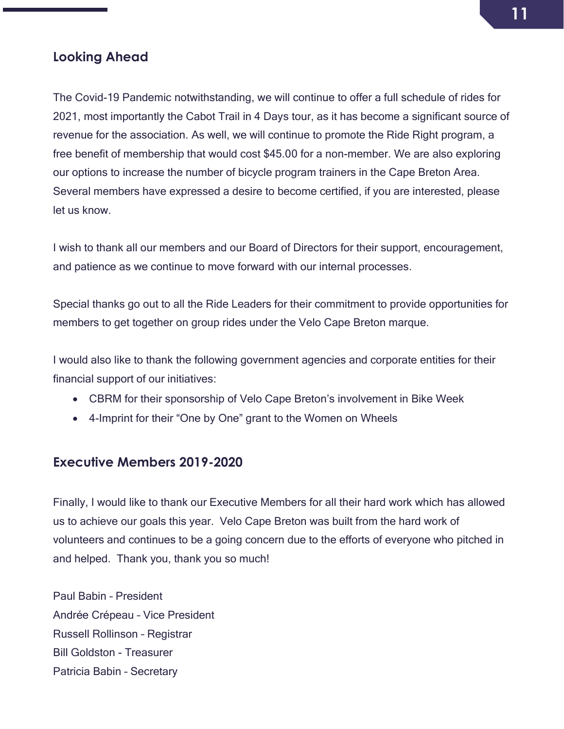### <span id="page-10-0"></span>**Looking Ahead**

The Covid-19 Pandemic notwithstanding, we will continue to offer a full schedule of rides for 2021, most importantly the Cabot Trail in 4 Days tour, as it has become a significant source of revenue for the association. As well, we will continue to promote the Ride Right program, a free benefit of membership that would cost \$45.00 for a non-member. We are also exploring our options to increase the number of bicycle program trainers in the Cape Breton Area. Several members have expressed a desire to become certified, if you are interested, please let us know.

I wish to thank all our members and our Board of Directors for their support, encouragement, and patience as we continue to move forward with our internal processes.

Special thanks go out to all the Ride Leaders for their commitment to provide opportunities for members to get together on group rides under the Velo Cape Breton marque.

I would also like to thank the following government agencies and corporate entities for their financial support of our initiatives:

- CBRM for their sponsorship of Velo Cape Breton's involvement in Bike Week
- 4-Imprint for their "One by One" grant to the Women on Wheels

### <span id="page-10-1"></span>**Executive Members 2019-2020**

Finally, I would like to thank our Executive Members for all their hard work which has allowed us to achieve our goals this year. Velo Cape Breton was built from the hard work of volunteers and continues to be a going concern due to the efforts of everyone who pitched in and helped. Thank you, thank you so much!

Paul Babin – President Andrée Crépeau – Vice President Russell Rollinson – Registrar Bill Goldston - Treasurer Patricia Babin – Secretary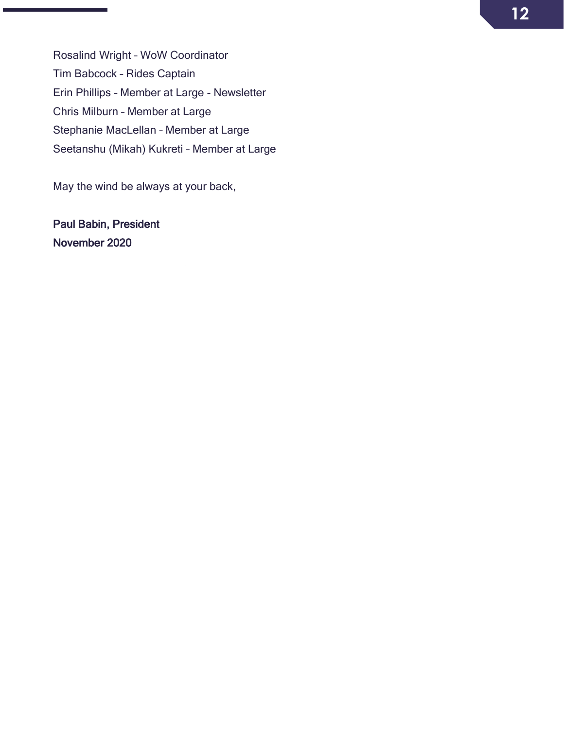Rosalind Wright – WoW Coordinator Tim Babcock – Rides Captain Erin Phillips – Member at Large - Newsletter Chris Milburn – Member at Large Stephanie MacLellan – Member at Large Seetanshu (Mikah) Kukreti – Member at Large

May the wind be always at your back,

Paul Babin, President November 2020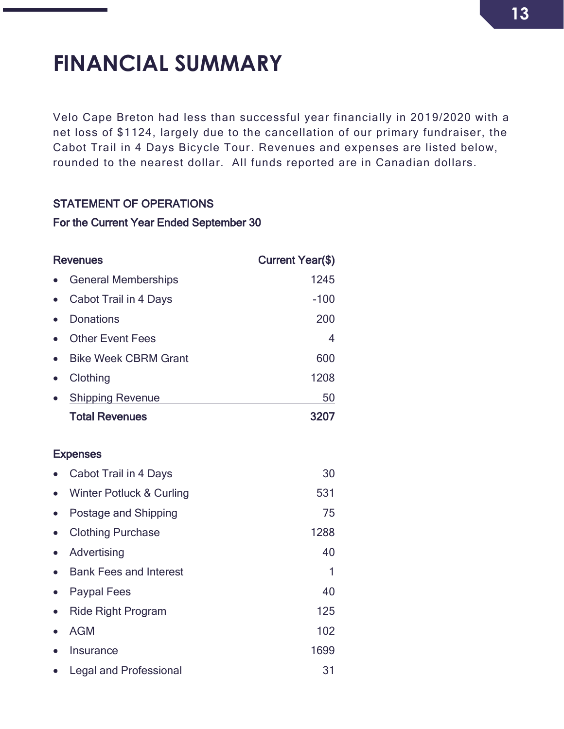# <span id="page-12-0"></span>**FINANCIAL SUMMARY**

Velo Cape Breton had less than successful year financially in 2019/2020 with a net loss of \$1124, largely due to the cancellation of our primary fundraiser, the Cabot Trail in 4 Days Bicycle Tour. Revenues and expenses are listed below, rounded to the nearest dollar. All funds reported are in Canadian dollars.

#### STATEMENT OF OPERATIONS

#### For the Current Year Ended September 30

| <b>Revenues</b>             | <b>Current Year(\$)</b> |
|-----------------------------|-------------------------|
| <b>General Memberships</b>  | 1245                    |
| Cabot Trail in 4 Days       | $-100$                  |
| <b>Donations</b>            | 200                     |
| <b>Other Event Fees</b>     | 4                       |
| <b>Bike Week CBRM Grant</b> | 600                     |
| Clothing                    | 1208                    |
| <b>Shipping Revenue</b>     | 50                      |
| <b>Total Revenues</b>       | 3207                    |
|                             |                         |

#### **Expenses**

|           | Cabot Trail in 4 Days         | 30   |
|-----------|-------------------------------|------|
| $\bullet$ | Winter Potluck & Curling      | 531  |
| $\bullet$ | Postage and Shipping          | 75   |
| $\bullet$ | <b>Clothing Purchase</b>      | 1288 |
|           | Advertising                   | 40   |
|           | <b>Bank Fees and Interest</b> | 1    |
| $\bullet$ | <b>Paypal Fees</b>            | 40   |
| $\bullet$ | <b>Ride Right Program</b>     | 125  |
|           | <b>AGM</b>                    | 102  |
|           | Insurance                     | 1699 |
|           | <b>Legal and Professional</b> | 31   |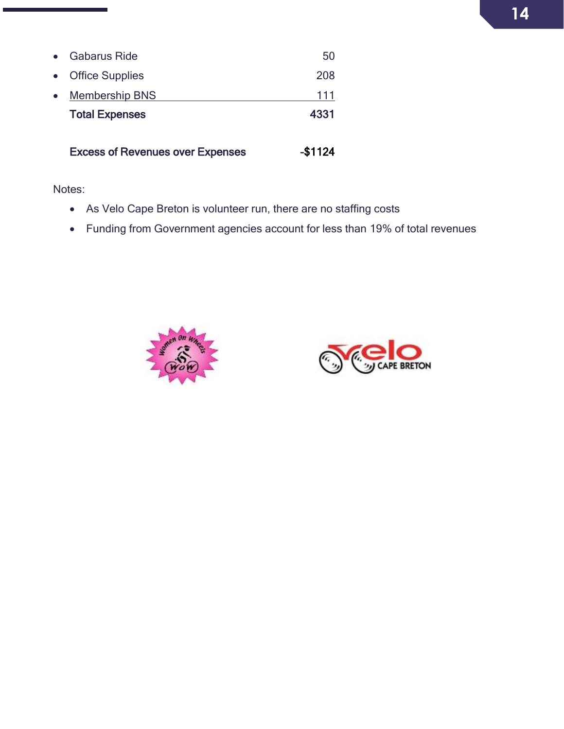|           | <b>Excess of Revenues over Expenses</b> | -\$1124 |
|-----------|-----------------------------------------|---------|
|           | <b>Total Expenses</b>                   | 4331    |
| $\bullet$ | <b>Membership BNS</b>                   | 111     |
| $\bullet$ | <b>Office Supplies</b>                  | 208     |
| $\bullet$ | <b>Gabarus Ride</b>                     | 50      |

Notes:

- As Velo Cape Breton is volunteer run, there are no staffing costs
- Funding from Government agencies account for less than 19% of total revenues



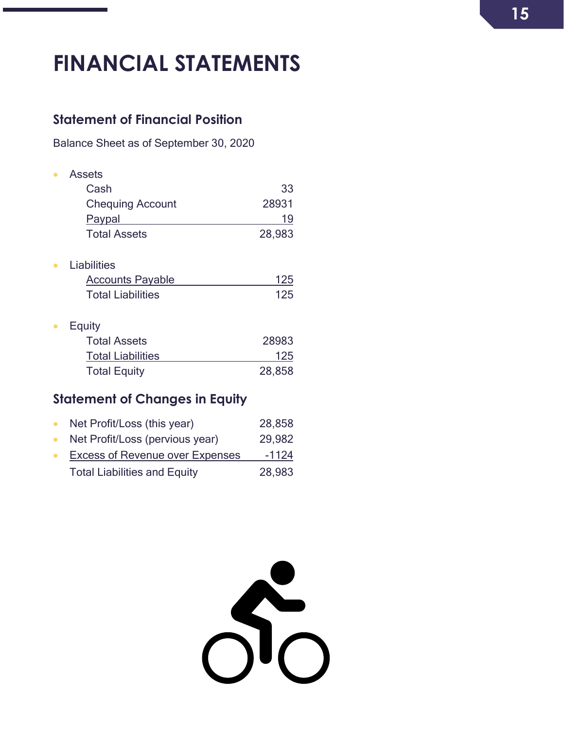# <span id="page-14-0"></span>**FINANCIAL STATEMENTS**

### <span id="page-14-1"></span>**Statement of Financial Position**

Balance Sheet as of September 30, 2020

| Assets                   |        |
|--------------------------|--------|
| Cash                     | 33     |
| <b>Chequing Account</b>  | 28931  |
| Paypal                   | 19     |
| <b>Total Assets</b>      | 28,983 |
| Liabilities              |        |
| <b>Accounts Payable</b>  | 125    |
| <b>Total Liabilities</b> | 125    |
| Equity                   |        |
| <b>Total Assets</b>      | 28983  |
| <b>Total Liabilities</b> | 125    |
| <b>Total Equity</b>      | 28,858 |

# <span id="page-14-2"></span>**Statement of Changes in Equity**

| Net Profit/Loss (this year)            | 28,858  |
|----------------------------------------|---------|
| Net Profit/Loss (pervious year)        | 29,982  |
| <b>Excess of Revenue over Expenses</b> | $-1124$ |
| <b>Total Liabilities and Equity</b>    | 28,983  |

 $S_{0}^{2}$